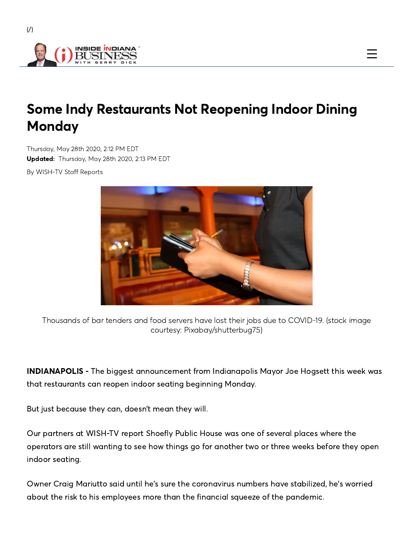

 $($  $/$  $)$ 

## Some Indy Restaurants Not Reopening Indoor Dining **Monday**

Thursday, May 28th 2020, 2∶12 PM EDT Updated: Thursday, May 28th 2020, 2∶13 PM EDT

By WISH-TV Staff Reports



Thousands of bar tenders and food servers have lost their jobs due to COVID-19. (stock image courtesy: Pixabay/shutterbug75)

INDIANAPOLIS - The biggest announcement from Indianapolis Mayor Joe Hogsett this week was that restaurants can reopen indoor seating beginning Monday.

But just because they can, doesn't mean they will.

Our partners at WISH-TV report Shoefly Public House was one of several places where the operators are still wanting to see how things go for another two or three weeks before they open indoor seating.

Owner Craig Mariutto said until he's sure the coronavirus numbers have stabilized, he's worried about the risk to his employees more than the financial squeeze of the pandemic.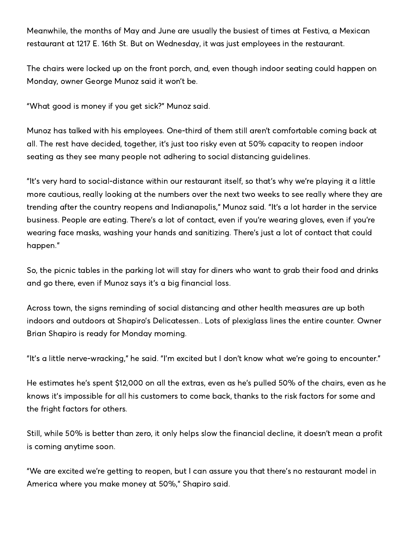Meanwhile, the months of May and June are usually the busiest of times at Festiva, a Mexican restaurant at 1217 E. 16th St. But on Wednesday, it was just employees in the restaurant.

The chairs were locked up on the front porch, and, even though indoor seating could happen on Monday, owner George Munoz said it won't be.

"What good is money if you get sick?" Munoz said.

Munoz has talked with his employees. One-third of them still aren't comfortable coming back at all. The rest have decided, together, it's just too risky even at 50% capacity to reopen indoor seating as they see many people not adhering to social distancing guidelines.

"It's very hard to social-distance within our restaurant itself, so that's why we're playing it a little more cautious, really looking at the numbers over the next two weeks to see really where they are trending after the country reopens and Indianapolis," Munoz said. "It's a lot harder in the service business. People are eating. There's a lot of contact, even if you're wearing gloves, even if you're wearing face masks, washing your hands and sanitizing. There's just a lot of contact that could happen."

So, the picnic tables in the parking lot will stay for diners who want to grab their food and drinks and go there, even if Munoz says it's a big financial loss.

Across town, the signs reminding of social distancing and other health measures are up both indoors and outdoors at Shapiro's Delicatessen.. Lots of plexiglass lines the entire counter. Owner Brian Shapiro is ready for Monday morning.

"It's a little nerve-wracking," he said. "I'm excited but I don't know what we're going to encounter."

He estimates he's spent \$12,000 on all the extras, even as he's pulled 50% of the chairs, even as he knows it's impossible for all his customers to come back, thanks to the risk factors for some and the fright factors for others.

Still, while 50% is better than zero, it only helps slow the financial decline, it doesn't mean a profit is coming anytime soon.

"We are excited we're getting to reopen, but I can assure you that there's no restaurant model in America where you make money at 50%," Shapiro said.